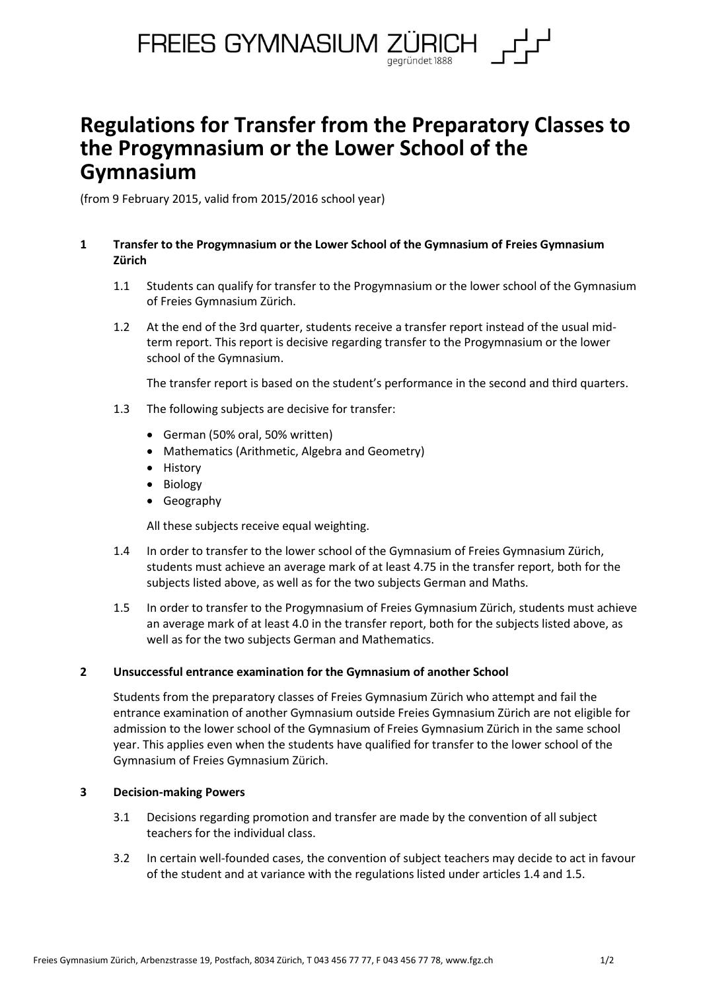

# **Regulations for Transfer from the Preparatory Classes to the Progymnasium or the Lower School of the Gymnasium**

(from 9 February 2015, valid from 2015/2016 school year)

## **1 Transfer to the Progymnasium or the Lower School of the Gymnasium of Freies Gymnasium Zürich**

- 1.1 Students can qualify for transfer to the Progymnasium or the lower school of the Gymnasium of Freies Gymnasium Zürich.
- 1.2 At the end of the 3rd quarter, students receive a transfer report instead of the usual midterm report. This report is decisive regarding transfer to the Progymnasium or the lower school of the Gymnasium.

The transfer report is based on the student's performance in the second and third quarters.

- 1.3 The following subjects are decisive for transfer:
	- German (50% oral, 50% written)
	- Mathematics (Arithmetic, Algebra and Geometry)
	- History
	- Biology
	- Geography

All these subjects receive equal weighting.

- 1.4 In order to transfer to the lower school of the Gymnasium of Freies Gymnasium Zürich, students must achieve an average mark of at least 4.75 in the transfer report, both for the subjects listed above, as well as for the two subjects German and Maths.
- 1.5 In order to transfer to the Progymnasium of Freies Gymnasium Zürich, students must achieve an average mark of at least 4.0 in the transfer report, both for the subjects listed above, as well as for the two subjects German and Mathematics.

## **2 Unsuccessful entrance examination for the Gymnasium of another School**

Students from the preparatory classes of Freies Gymnasium Zürich who attempt and fail the entrance examination of another Gymnasium outside Freies Gymnasium Zürich are not eligible for admission to the lower school of the Gymnasium of Freies Gymnasium Zürich in the same school year. This applies even when the students have qualified for transfer to the lower school of the Gymnasium of Freies Gymnasium Zürich.

## **3 Decision-making Powers**

- 3.1 Decisions regarding promotion and transfer are made by the convention of all subject teachers for the individual class.
- 3.2 In certain well-founded cases, the convention of subject teachers may decide to act in favour of the student and at variance with the regulations listed under articles 1.4 and 1.5.